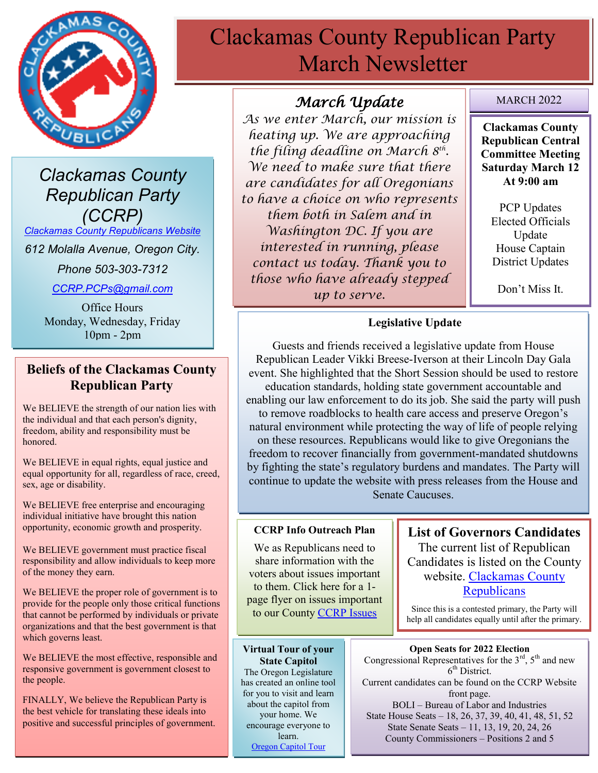

*Clackamas County Republican Party (CCRP)*

*[Clackamas County Republicans Website](https://www.clackamascountyrepublicans.org/)*

*612 Molalla Avenue, Oregon City.* 

*Phone 503-303-7312*

*[CCRP.PCPs@gmail.com](mailto:CCRP.PCPs@gmail.com)*

Office Hours Monday, Wednesday, Friday 10pm - 2pm

#### **Beliefs of the Clackamas County Republican Party**

We BELIEVE the strength of our nation lies with the individual and that each person's dignity, freedom, ability and responsibility must be honored.

We BELIEVE in equal rights, equal justice and equal opportunity for all, regardless of race, creed, sex, age or disability.

We BELIEVE free enterprise and encouraging individual initiative have brought this nation opportunity, economic growth and prosperity.

We BELIEVE government must practice fiscal responsibility and allow individuals to keep more of the money they earn.

We BELIEVE the proper role of government is to provide for the people only those critical functions that cannot be performed by individuals or private organizations and that the best government is that which governs least.

We BELIEVE the most effective, responsible and responsive government is government closest to the people.

FINALLY, We believe the Republican Party is the best vehicle for translating these ideals into positive and successful principles of government.

# Clackamas County Republican Party March Newsletter

### *March Update*

*As we enter March, our mission is heating up. We are approaching the filing deadline on March 8th . We need to make sure that there are candidates for all Oregonians to have a choice on who represents them both in Salem and in Washington DC. If you are interested in running, please contact us today. Thank you to those who have already stepped up to serve.* 

#### MARCH 2022

**Clackamas County Republican Central Committee Meeting Saturday March 12 At 9:00 am**

PCP Updates Elected Officials Update House Captain District Updates

Don't Miss It.

#### **Legislative Update**

Guests and friends received a legislative update from House Republican Leader Vikki Breese-Iverson at their Lincoln Day Gala event. She highlighted that the Short Session should be used to restore education standards, holding state government accountable and enabling our law enforcement to do its job. She said the party will push to remove roadblocks to health care access and preserve Oregon's natural environment while protecting the way of life of people relying on these resources. Republicans would like to give Oregonians the freedom to recover financially from government-mandated shutdowns by fighting the state's regulatory burdens and mandates. The Party will continue to update the website with press releases from the House and Senate Caucuses.

#### **CCRP Info Outreach Plan**

We as Republicans need to share information with the voters about issues important to them. Click here for a 1 page flyer on issues important to our County [CCRP Issues](https://www.clackamascountyrepublicans.org/wp-content/uploads/2021/09/CCRP-Outreach.pdf)

**List of Governors Candidates** The current list of Republican Candidates is listed on the County website. [Clackamas County](https://www.clackamascountyrepublicans.org/)  **[Republicans](https://www.clackamascountyrepublicans.org/)** 

Since this is a contested primary, the Party will help all candidates equally until after the primary.

**Virtual Tour of your State Capitol** The Oregon Legislature has created an online tool for you to visit and learn about the capitol from your home. We encourage everyone to learn. [Oregon Capitol Tour](https://www.oregonlegislature.gov/capitolhistorygateway/Pages/default.aspx)

**Open Seats for 2022 Election** Congressional Representatives for the  $3<sup>rd</sup>$ ,  $5<sup>th</sup>$  and new 6<sup>th</sup> District. Current candidates can be found on the CCRP Website front page. BOLI – Bureau of Labor and Industries State House Seats – 18, 26, 37, 39, 40, 41, 48, 51, 52 State Senate Seats – 11, 13, 19, 20, 24, 26 County Commissioners – Positions 2 and 5